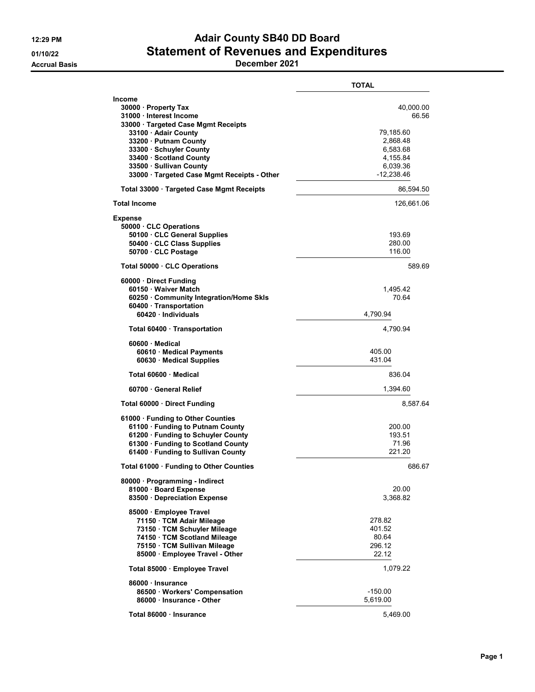## 12:29 PM **Adair County SB40 DD Board** 01/10/22 Statement of Revenues and Expenditures

Accrual Basis December 2021

|                                                                                                                                                                                                                                                                                          | <b>TOTAL</b>                                                                                    |
|------------------------------------------------------------------------------------------------------------------------------------------------------------------------------------------------------------------------------------------------------------------------------------------|-------------------------------------------------------------------------------------------------|
| <b>Income</b><br>30000 · Property Tax<br>31000 · Interest Income<br>33000 · Targeted Case Mgmt Receipts<br>33100 · Adair County<br>33200 · Putnam County<br>33300 · Schuyler County<br>33400 · Scotland County<br>33500 · Sullivan County<br>33000 · Targeted Case Mgmt Receipts - Other | 40,000.00<br>66.56<br>79,185.60<br>2,868.48<br>6,583.68<br>4,155.84<br>6,039.36<br>$-12,238.46$ |
| Total 33000 Targeted Case Mgmt Receipts                                                                                                                                                                                                                                                  | 86,594.50                                                                                       |
| <b>Total Income</b>                                                                                                                                                                                                                                                                      | 126,661.06                                                                                      |
| <b>Expense</b><br>50000 CLC Operations<br>50100 · CLC General Supplies<br>50400 · CLC Class Supplies<br>50700 · CLC Postage                                                                                                                                                              | 193.69<br>280.00<br>116.00                                                                      |
| Total 50000 · CLC Operations                                                                                                                                                                                                                                                             | 589.69                                                                                          |
| 60000 Direct Funding<br>60150 · Waiver Match<br>60250 Community Integration/Home Skls<br>60400 · Transportation<br>60420 · Individuals                                                                                                                                                   | 1,495.42<br>70.64<br>4,790.94                                                                   |
| Total 60400 · Transportation                                                                                                                                                                                                                                                             | 4,790.94                                                                                        |
| $60600 \cdot$ Medical<br>60610 · Medical Payments<br>60630 Medical Supplies                                                                                                                                                                                                              | 405.00<br>431.04                                                                                |
| Total 60600 Medical                                                                                                                                                                                                                                                                      | 836.04                                                                                          |
| 60700 General Relief                                                                                                                                                                                                                                                                     | 1,394.60                                                                                        |
| Total 60000 Direct Funding                                                                                                                                                                                                                                                               | 8,587.64                                                                                        |
| 61000 · Funding to Other Counties<br>61100 · Funding to Putnam County<br>61200 · Funding to Schuyler County<br>61300 · Funding to Scotland County<br>61400 · Funding to Sullivan County                                                                                                  | 200.00<br>193.51<br>71.96<br>221.20                                                             |
| Total 61000 · Funding to Other Counties                                                                                                                                                                                                                                                  | 686.67                                                                                          |
| 80000 · Programming - Indirect<br>81000 · Board Expense<br>83500 · Depreciation Expense                                                                                                                                                                                                  | 20.00<br>3,368.82                                                                               |
| 85000 · Employee Travel<br>71150 · TCM Adair Mileage<br>73150 · TCM Schuyler Mileage<br>74150 · TCM Scotland Mileage<br>75150 · TCM Sullivan Mileage<br>85000 · Employee Travel - Other                                                                                                  | 278.82<br>401.52<br>80.64<br>296.12<br>22.12                                                    |
| Total 85000 · Employee Travel                                                                                                                                                                                                                                                            | 1,079.22                                                                                        |
| 86000 · Insurance<br>86500 · Workers' Compensation<br>86000 Insurance - Other                                                                                                                                                                                                            | $-150.00$<br>5,619.00                                                                           |
| Total 86000 · Insurance                                                                                                                                                                                                                                                                  | 5,469.00                                                                                        |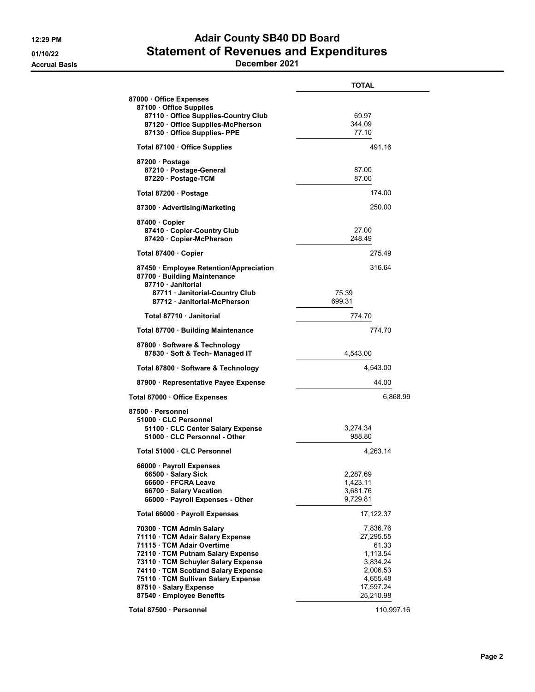## 12:29 PM **Adair County SB40 DD Board** 01/10/22 Statement of Revenues and Expenditures

Accrual Basis December 2021

| 87000 Office Expenses                                                                                                                                                                                                                                                        |                                                                                             |
|------------------------------------------------------------------------------------------------------------------------------------------------------------------------------------------------------------------------------------------------------------------------------|---------------------------------------------------------------------------------------------|
| 87100 Office Supplies<br>87110 · Office Supplies-Country Club<br>87120 Office Supplies-McPherson<br>87130 Office Supplies- PPE                                                                                                                                               | 69.97<br>344.09<br>77.10                                                                    |
| Total 87100 · Office Supplies                                                                                                                                                                                                                                                | 491.16                                                                                      |
| 87200 Postage<br>87210 · Postage-General<br>87220 · Postage-TCM                                                                                                                                                                                                              | 87.00<br>87.00                                                                              |
| Total 87200 · Postage                                                                                                                                                                                                                                                        | 174.00                                                                                      |
| 87300 Advertising/Marketing                                                                                                                                                                                                                                                  | 250.00                                                                                      |
| 87400 Copier<br>87410 Copier-Country Club<br>87420 · Copier-McPherson                                                                                                                                                                                                        | 27.00<br>248.49                                                                             |
| Total 87400 · Copier                                                                                                                                                                                                                                                         | 275.49                                                                                      |
| 87450 · Employee Retention/Appreciation<br>87700 · Building Maintenance<br>87710 Janitorial<br>87711 · Janitorial-Country Club<br>75.39<br>87712 Janitorial-McPherson<br>699.31                                                                                              | 316.64                                                                                      |
| Total 87710 · Janitorial                                                                                                                                                                                                                                                     | 774.70                                                                                      |
| Total 87700 · Building Maintenance                                                                                                                                                                                                                                           | 774.70                                                                                      |
| 87800 · Software & Technology<br>87830 · Soft & Tech- Managed IT                                                                                                                                                                                                             | 4,543.00                                                                                    |
| Total 87800 · Software & Technology                                                                                                                                                                                                                                          | 4,543.00                                                                                    |
| 87900 · Representative Payee Expense                                                                                                                                                                                                                                         | 44.00                                                                                       |
| Total 87000 · Office Expenses                                                                                                                                                                                                                                                | 6,868.99                                                                                    |
| 87500 · Personnel<br>51000 · CLC Personnel<br>51100 CLC Center Salary Expense<br>51000 · CLC Personnel - Other                                                                                                                                                               | 3,274.34<br>988.80                                                                          |
| Total 51000 · CLC Personnel                                                                                                                                                                                                                                                  | 4.263.14                                                                                    |
| 66000 · Payroll Expenses<br>66500 · Salary Sick<br>66600 FFCRA Leave<br>66700 · Salary Vacation<br>66000 · Payroll Expenses - Other                                                                                                                                          | 2,287.69<br>1,423.11<br>3,681.76<br>9,729.81                                                |
| Total 66000 · Payroll Expenses                                                                                                                                                                                                                                               | 17,122.37                                                                                   |
| 70300 TCM Admin Salary<br>71110 · TCM Adair Salary Expense<br>71115 · TCM Adair Overtime<br>72110 · TCM Putnam Salary Expense<br>73110 · TCM Schuyler Salary Expense<br>74110 · TCM Scotland Salary Expense<br>75110 · TCM Sullivan Salary Expense<br>87510 · Salary Expense | 7,836.76<br>27,295.55<br>61.33<br>1,113.54<br>3,834.24<br>2,006.53<br>4,655.48<br>17,597.24 |
| 87540 · Employee Benefits<br>Total 87500 · Personnel                                                                                                                                                                                                                         | 25,210.98<br>110,997.16                                                                     |